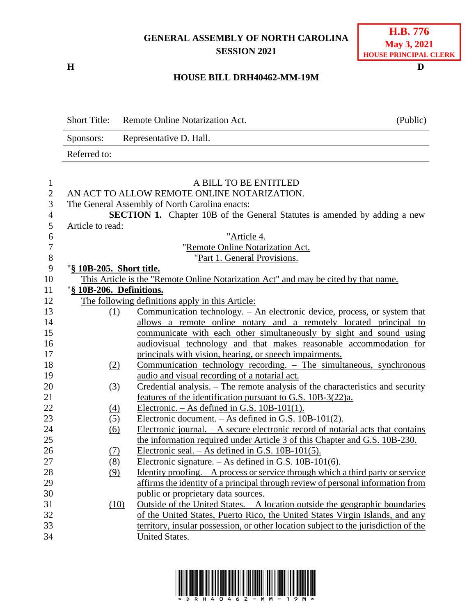## **GENERAL ASSEMBLY OF NORTH CAROLINA SESSION 2021**

## **H.B. 776 May 3, 2021 HOUSE PRINCIPAL CLERK**

## **H D HOUSE BILL DRH40462-MM-19M**

Short Title: Remote Online Notarization Act. (Public) Sponsors: Representative D. Hall. Referred to: A BILL TO BE ENTITLED AN ACT TO ALLOW REMOTE ONLINE NOTARIZATION. The General Assembly of North Carolina enacts: **SECTION 1.** Chapter 10B of the General Statutes is amended by adding a new Article to read: "Article 4. "Remote Online Notarization Act. 8 "Part 1. General Provisions. "**§ 10B-205. Short title.** This Article is the "Remote Online Notarization Act" and may be cited by that name. "**§ 10B-206. Definitions.** The following definitions apply in this Article: (1) Communication technology. – An electronic device, process, or system that allows a remote online notary and a remotely located principal to communicate with each other simultaneously by sight and sound using audiovisual technology and that makes reasonable accommodation for principals with vision, hearing, or speech impairments. (2) Communication technology recording. – The simultaneous, synchronous audio and visual recording of a notarial act. (3) Credential analysis. – The remote analysis of the characteristics and security features of the identification pursuant to G.S. 10B-3(22)a. 22 (4) Electronic. – As defined in G.S.  $10B-101(1)$ . (5) Electronic document. – As defined in G.S. 10B-101(2). (6) Electronic journal. – A secure electronic record of notarial acts that contains the information required under Article 3 of this Chapter and G.S. 10B-230. (7) Electronic seal. – As defined in G.S. 10B-101(5). (8) Electronic signature. – As defined in G.S. 10B-101(6). (9) Identity proofing. – A process or service through which a third party or service affirms the identity of a principal through review of personal information from public or proprietary data sources. (10) Outside of the United States. – A location outside the geographic boundaries of the United States, Puerto Rico, the United States Virgin Islands, and any territory, insular possession, or other location subject to the jurisdiction of the United States.

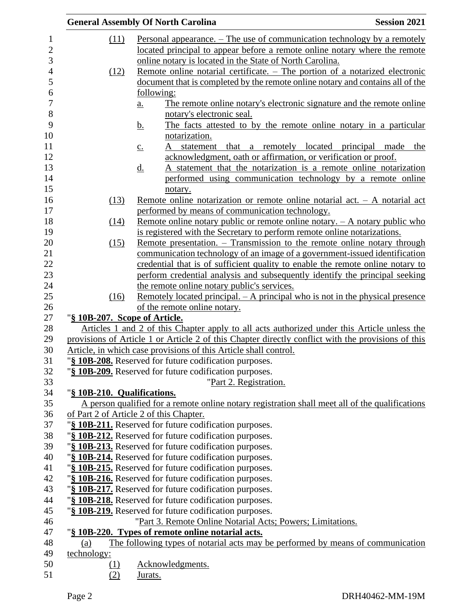|             | <b>General Assembly Of North Carolina</b>                                                          | <b>Session 2021</b> |
|-------------|----------------------------------------------------------------------------------------------------|---------------------|
| (11)        | <u>Personal appearance. – The use of communication technology by a remotely</u>                    |                     |
|             | located principal to appear before a remote online notary where the remote                         |                     |
|             | online notary is located in the State of North Carolina.                                           |                     |
| (12)        | Remote online notarial certificate. – The portion of a notarized electronic                        |                     |
|             | document that is completed by the remote online notary and contains all of the                     |                     |
|             | following:                                                                                         |                     |
|             | The remote online notary's electronic signature and the remote online<br>$\underline{a}$ .         |                     |
|             | notary's electronic seal.                                                                          |                     |
|             | The facts attested to by the remote online notary in a particular<br><u>b.</u>                     |                     |
|             | notarization.                                                                                      |                     |
|             | that a remotely located principal made the<br>statement<br>$\underline{c}$ .                       |                     |
|             | acknowledgment, oath or affirmation, or verification or proof.                                     |                     |
|             | A statement that the notarization is a remote online notarization<br><u>d.</u>                     |                     |
|             | performed using communication technology by a remote online                                        |                     |
|             | notary.                                                                                            |                     |
| (13)        | Remote online notarization or remote online notarial act. $-$ A notarial act                       |                     |
|             | performed by means of communication technology.                                                    |                     |
| (14)        | <u>Remote online notary public or remote online notary. - A notary public who</u>                  |                     |
|             | is registered with the Secretary to perform remote online notarizations.                           |                     |
| (15)        | Remote presentation. – Transmission to the remote online notary through                            |                     |
|             | communication technology of an image of a government-issued identification                         |                     |
|             | credential that is of sufficient quality to enable the remote online notary to                     |                     |
|             | perform credential analysis and subsequently identify the principal seeking                        |                     |
|             | the remote online notary public's services.                                                        |                     |
| (16)        | Remotely located principal. – A principal who is not in the physical presence                      |                     |
|             | of the remote online notary.                                                                       |                     |
|             | "§ 10B-207. Scope of Article.                                                                      |                     |
|             | Articles 1 and 2 of this Chapter apply to all acts authorized under this Article unless the        |                     |
|             | provisions of Article 1 or Article 2 of this Chapter directly conflict with the provisions of this |                     |
|             | Article, in which case provisions of this Article shall control.                                   |                     |
|             | "§ 10B-208. Reserved for future codification purposes.                                             |                     |
|             | "§ 10B-209. Reserved for future codification purposes.                                             |                     |
|             | "Part 2. Registration.                                                                             |                     |
|             | "§ 10B-210. Qualifications.                                                                        |                     |
|             | A person qualified for a remote online notary registration shall meet all of the qualifications    |                     |
|             | of Part 2 of Article 2 of this Chapter.<br>"§ 10B-211. Reserved for future codification purposes.  |                     |
|             |                                                                                                    |                     |
|             | "§ 10B-212. Reserved for future codification purposes.                                             |                     |
|             | "§ 10B-213. Reserved for future codification purposes.                                             |                     |
|             | "§ 10B-214. Reserved for future codification purposes.                                             |                     |
|             | "§ 10B-215. Reserved for future codification purposes.                                             |                     |
|             | "§ 10B-216. Reserved for future codification purposes.                                             |                     |
|             | "§ 10B-217. Reserved for future codification purposes.                                             |                     |
|             | "§ 10B-218. Reserved for future codification purposes.                                             |                     |
|             | "§ 10B-219. Reserved for future codification purposes.                                             |                     |
|             | "Part 3. Remote Online Notarial Acts; Powers; Limitations.                                         |                     |
|             | "§ 10B-220. Types of remote online notarial acts.                                                  |                     |
| (a)         | The following types of notarial acts may be performed by means of communication                    |                     |
| technology: |                                                                                                    |                     |
| <u>(1)</u>  | Acknowledgments.                                                                                   |                     |
| (2)         | Jurats.                                                                                            |                     |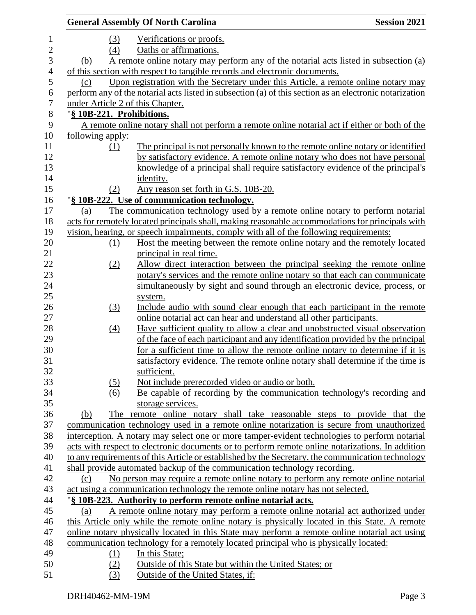|     |                  | <b>General Assembly Of North Carolina</b>                                                               | <b>Session 2021</b> |
|-----|------------------|---------------------------------------------------------------------------------------------------------|---------------------|
|     | (3)              | Verifications or proofs.                                                                                |                     |
|     | (4)              | Oaths or affirmations.                                                                                  |                     |
| (b) |                  | A remote online notary may perform any of the notarial acts listed in subsection (a)                    |                     |
|     |                  | of this section with respect to tangible records and electronic documents.                              |                     |
| (c) |                  | Upon registration with the Secretary under this Article, a remote online notary may                     |                     |
|     |                  | perform any of the notarial acts listed in subsection (a) of this section as an electronic notarization |                     |
|     |                  | under Article 2 of this Chapter.                                                                        |                     |
|     |                  | "§ 10B-221. Prohibitions.                                                                               |                     |
|     |                  | A remote online notary shall not perform a remote online notarial act if either or both of the          |                     |
|     | following apply: |                                                                                                         |                     |
|     | (1)              | The principal is not personally known to the remote online notary or identified                         |                     |
|     |                  | by satisfactory evidence. A remote online notary who does not have personal                             |                     |
|     |                  | knowledge of a principal shall require satisfactory evidence of the principal's                         |                     |
|     |                  | identity.                                                                                               |                     |
|     | (2)              | Any reason set forth in G.S. 10B-20.                                                                    |                     |
|     |                  | "§ 10B-222. Use of communication technology.                                                            |                     |
| (a) |                  | The communication technology used by a remote online notary to perform notarial                         |                     |
|     |                  | acts for remotely located principals shall, making reasonable accommodations for principals with        |                     |
|     |                  | vision, hearing, or speech impairments, comply with all of the following requirements:                  |                     |
|     | (1)              | Host the meeting between the remote online notary and the remotely located                              |                     |
|     |                  | principal in real time.                                                                                 |                     |
|     | (2)              | Allow direct interaction between the principal seeking the remote online                                |                     |
|     |                  | notary's services and the remote online notary so that each can communicate                             |                     |
|     |                  | simultaneously by sight and sound through an electronic device, process, or                             |                     |
|     |                  |                                                                                                         |                     |
|     |                  | system.<br>Include audio with sound clear enough that each participant in the remote                    |                     |
|     | (3)              | online notarial act can hear and understand all other participants.                                     |                     |
|     |                  |                                                                                                         |                     |
|     | (4)              | Have sufficient quality to allow a clear and unobstructed visual observation                            |                     |
|     |                  | of the face of each participant and any identification provided by the principal                        |                     |
|     |                  | for a sufficient time to allow the remote online notary to determine if it is                           |                     |
|     |                  | satisfactory evidence. The remote online notary shall determine if the time is                          |                     |
|     |                  | sufficient.                                                                                             |                     |
|     | (5)              | Not include prerecorded video or audio or both.                                                         |                     |
|     | (6)              | Be capable of recording by the communication technology's recording and                                 |                     |
|     |                  | storage services.                                                                                       |                     |
| (b) |                  | The remote online notary shall take reasonable steps to provide that the                                |                     |
|     |                  | communication technology used in a remote online notarization is secure from unauthorized               |                     |
|     |                  | interception. A notary may select one or more tamper-evident technologies to perform notarial           |                     |
|     |                  | acts with respect to electronic documents or to perform remote online notarizations. In addition        |                     |
|     |                  | to any requirements of this Article or established by the Secretary, the communication technology       |                     |
|     |                  | shall provide automated backup of the communication technology recording.                               |                     |
| (c) |                  | No person may require a remote online notary to perform any remote online notarial                      |                     |
|     |                  | act using a communication technology the remote online notary has not selected.                         |                     |
|     |                  | "§ 10B-223. Authority to perform remote online notarial acts.                                           |                     |
| (a) |                  | A remote online notary may perform a remote online notarial act authorized under                        |                     |
|     |                  | this Article only while the remote online notary is physically located in this State. A remote          |                     |
|     |                  | online notary physically located in this State may perform a remote online notarial act using           |                     |
|     |                  | communication technology for a remotely located principal who is physically located:                    |                     |
|     | (1)              | In this State;                                                                                          |                     |
|     | (2)              | Outside of this State but within the United States; or                                                  |                     |
|     | (3)              | Outside of the United States, if:                                                                       |                     |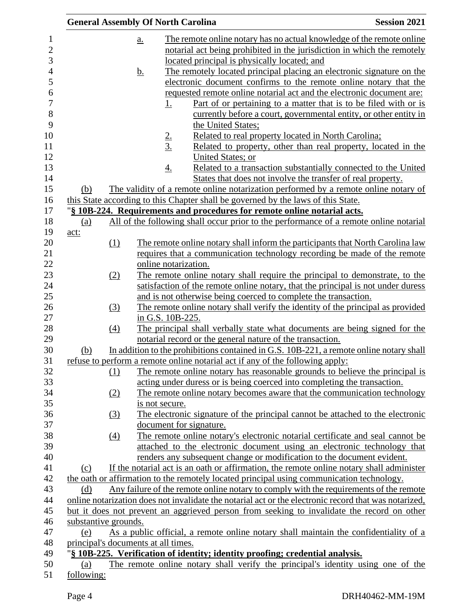|                                     | <b>General Assembly Of North Carolina</b> |                                                                                                                                                      | <b>Session 2021</b> |
|-------------------------------------|-------------------------------------------|------------------------------------------------------------------------------------------------------------------------------------------------------|---------------------|
|                                     | a.                                        | The remote online notary has no actual knowledge of the remote online                                                                                |                     |
|                                     |                                           | notarial act being prohibited in the jurisdiction in which the remotely                                                                              |                     |
|                                     |                                           | located principal is physically located; and                                                                                                         |                     |
|                                     | <u>b.</u>                                 | The remotely located principal placing an electronic signature on the                                                                                |                     |
|                                     |                                           | electronic document confirms to the remote online notary that the                                                                                    |                     |
|                                     |                                           | requested remote online notarial act and the electronic document are:                                                                                |                     |
|                                     | 1.                                        | Part of or pertaining to a matter that is to be filed with or is                                                                                     |                     |
|                                     |                                           | currently before a court, governmental entity, or other entity in                                                                                    |                     |
|                                     |                                           | the United States;                                                                                                                                   |                     |
|                                     |                                           | Related to real property located in North Carolina;                                                                                                  |                     |
|                                     | $\frac{2}{3}$                             | Related to property, other than real property, located in the                                                                                        |                     |
|                                     |                                           | United States; or                                                                                                                                    |                     |
|                                     | $\underline{4.}$                          | Related to a transaction substantially connected to the United                                                                                       |                     |
|                                     |                                           | States that does not involve the transfer of real property.                                                                                          |                     |
| (b)                                 |                                           | The validity of a remote online notarization performed by a remote online notary of                                                                  |                     |
|                                     |                                           | this State according to this Chapter shall be governed by the laws of this State.                                                                    |                     |
|                                     |                                           | "§ 10B-224. Requirements and procedures for remote online notarial acts.                                                                             |                     |
| (a)                                 |                                           | All of the following shall occur prior to the performance of a remote online notarial                                                                |                     |
| act:                                |                                           |                                                                                                                                                      |                     |
| (1)                                 |                                           | The remote online notary shall inform the participants that North Carolina law                                                                       |                     |
|                                     |                                           | requires that a communication technology recording be made of the remote                                                                             |                     |
|                                     | online notarization.                      |                                                                                                                                                      |                     |
| (2)                                 |                                           | The remote online notary shall require the principal to demonstrate, to the                                                                          |                     |
|                                     |                                           | satisfaction of the remote online notary, that the principal is not under duress                                                                     |                     |
|                                     |                                           | and is not otherwise being coerced to complete the transaction.                                                                                      |                     |
| (3)                                 |                                           | The remote online notary shall verify the identity of the principal as provided                                                                      |                     |
|                                     | in G.S. 10B-225.                          |                                                                                                                                                      |                     |
| (4)                                 |                                           | The principal shall verbally state what documents are being signed for the                                                                           |                     |
|                                     |                                           | notarial record or the general nature of the transaction.                                                                                            |                     |
| (b)                                 |                                           | In addition to the prohibitions contained in G.S. 10B-221, a remote online notary shall                                                              |                     |
|                                     |                                           | refuse to perform a remote online notarial act if any of the following apply:                                                                        |                     |
| (1)                                 |                                           | The remote online notary has reasonable grounds to believe the principal is                                                                          |                     |
|                                     |                                           | acting under duress or is being coerced into completing the transaction.<br>The remote online notary becomes aware that the communication technology |                     |
| (2)                                 | is not secure.                            |                                                                                                                                                      |                     |
| (3)                                 |                                           | The electronic signature of the principal cannot be attached to the electronic                                                                       |                     |
|                                     | document for signature.                   |                                                                                                                                                      |                     |
| (4)                                 |                                           | The remote online notary's electronic notarial certificate and seal cannot be                                                                        |                     |
|                                     |                                           | attached to the electronic document using an electronic technology that                                                                              |                     |
|                                     |                                           | renders any subsequent change or modification to the document evident.                                                                               |                     |
| (c)                                 |                                           | If the notarial act is an oath or affirmation, the remote online notary shall administer                                                             |                     |
|                                     |                                           | the oath or affirmation to the remotely located principal using communication technology.                                                            |                     |
| (d)                                 |                                           | Any failure of the remote online notary to comply with the requirements of the remote                                                                |                     |
|                                     |                                           | online notarization does not invalidate the notarial act or the electronic record that was notarized,                                                |                     |
|                                     |                                           | but it does not prevent an aggrieved person from seeking to invalidate the record on other                                                           |                     |
| substantive grounds.                |                                           |                                                                                                                                                      |                     |
| (e)                                 |                                           | As a public official, a remote online notary shall maintain the confidentiality of a                                                                 |                     |
| principal's documents at all times. |                                           |                                                                                                                                                      |                     |
|                                     |                                           | "§ 10B-225. Verification of identity; identity proofing; credential analysis.                                                                        |                     |
| (a)                                 |                                           | The remote online notary shall verify the principal's identity using one of the                                                                      |                     |
| following:                          |                                           |                                                                                                                                                      |                     |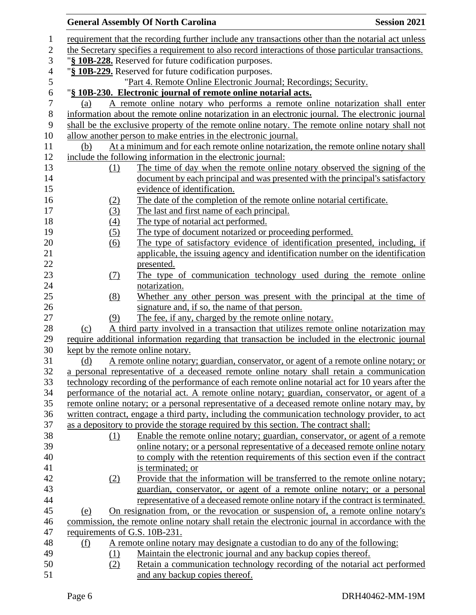|                  |                                   | <b>General Assembly Of North Carolina</b>                                                           | <b>Session 2021</b> |
|------------------|-----------------------------------|-----------------------------------------------------------------------------------------------------|---------------------|
| 1                |                                   | requirement that the recording further include any transactions other than the notarial act unless  |                     |
| $\overline{c}$   |                                   | the Secretary specifies a requirement to also record interactions of those particular transactions. |                     |
| 3                |                                   | "§ 10B-228. Reserved for future codification purposes.                                              |                     |
| $\overline{4}$   |                                   | "§ 10B-229. Reserved for future codification purposes.                                              |                     |
| 5                |                                   | "Part 4. Remote Online Electronic Journal; Recordings; Security.                                    |                     |
| 6                |                                   | "§ 10B-230. Electronic journal of remote online notarial acts.                                      |                     |
| $\boldsymbol{7}$ | (a)                               | A remote online notary who performs a remote online notarization shall enter                        |                     |
| 8                |                                   | information about the remote online notarization in an electronic journal. The electronic journal   |                     |
| 9                |                                   | shall be the exclusive property of the remote online notary. The remote online notary shall not     |                     |
| 10               |                                   | allow another person to make entries in the electronic journal.                                     |                     |
| 11               | (b)                               | At a minimum and for each remote online notarization, the remote online notary shall                |                     |
| 12               |                                   | include the following information in the electronic journal:                                        |                     |
| 13               | (1)                               | The time of day when the remote online notary observed the signing of the                           |                     |
| 14               |                                   | document by each principal and was presented with the principal's satisfactory                      |                     |
| 15               |                                   | evidence of identification.                                                                         |                     |
| 16               | (2)                               | The date of the completion of the remote online notarial certificate.                               |                     |
| 17               | (3)                               | The last and first name of each principal.                                                          |                     |
| 18               | (4)                               | The type of notarial act performed.                                                                 |                     |
| 19               | (5)                               | The type of document notarized or proceeding performed.                                             |                     |
| 20               | (6)                               | The type of satisfactory evidence of identification presented, including, if                        |                     |
| 21               |                                   | applicable, the issuing agency and identification number on the identification                      |                     |
| 22               |                                   | presented.                                                                                          |                     |
| 23               | (7)                               | The type of communication technology used during the remote online                                  |                     |
| 24               |                                   | notarization.                                                                                       |                     |
| 25               | (8)                               | Whether any other person was present with the principal at the time of                              |                     |
| 26               |                                   | signature and, if so, the name of that person.                                                      |                     |
| 27               | (9)                               | The fee, if any, charged by the remote online notary.                                               |                     |
| 28               | (c)                               | A third party involved in a transaction that utilizes remote online notarization may                |                     |
| 29               |                                   | require additional information regarding that transaction be included in the electronic journal     |                     |
| 30               | kept by the remote online notary. |                                                                                                     |                     |
| 31               | <u>(d)</u>                        | A remote online notary; guardian, conservator, or agent of a remote online notary; or               |                     |
| 32               |                                   | a personal representative of a deceased remote online notary shall retain a communication           |                     |
| 33               |                                   | technology recording of the performance of each remote online notarial act for 10 years after the   |                     |
| 34               |                                   | performance of the notarial act. A remote online notary; guardian, conservator, or agent of a       |                     |
| 35               |                                   | remote online notary; or a personal representative of a deceased remote online notary may, by       |                     |
| 36               |                                   | written contract, engage a third party, including the communication technology provider, to act     |                     |
| 37               |                                   | as a depository to provide the storage required by this section. The contract shall:                |                     |
| 38               | (1)                               | Enable the remote online notary; guardian, conservator, or agent of a remote                        |                     |
| 39               |                                   | online notary; or a personal representative of a deceased remote online notary                      |                     |
| 40               |                                   | to comply with the retention requirements of this section even if the contract                      |                     |
| 41               |                                   | is terminated; or                                                                                   |                     |
| 42               | (2)                               | Provide that the information will be transferred to the remote online notary;                       |                     |
| 43               |                                   | guardian, conservator, or agent of a remote online notary; or a personal                            |                     |
| 44               |                                   | representative of a deceased remote online notary if the contract is terminated.                    |                     |
| 45               | (e)                               | On resignation from, or the revocation or suspension of, a remote online notary's                   |                     |
| 46               |                                   | commission, the remote online notary shall retain the electronic journal in accordance with the     |                     |
| 47               | requirements of G.S. 10B-231.     |                                                                                                     |                     |
| 48               | <u>(f)</u>                        | A remote online notary may designate a custodian to do any of the following:                        |                     |
| 49               | (1)                               | Maintain the electronic journal and any backup copies thereof.                                      |                     |
| 50               | (2)                               | Retain a communication technology recording of the notarial act performed                           |                     |
| 51               |                                   | and any backup copies thereof.                                                                      |                     |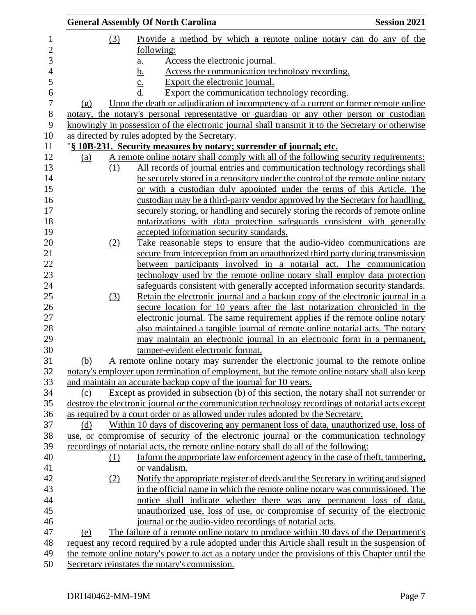|     |     | <b>General Assembly Of North Carolina</b>                                                                                                                                                    | <b>Session 2021</b> |
|-----|-----|----------------------------------------------------------------------------------------------------------------------------------------------------------------------------------------------|---------------------|
|     | (3) | Provide a method by which a remote online notary can do any of the                                                                                                                           |                     |
|     |     | following:                                                                                                                                                                                   |                     |
|     |     | Access the electronic journal.                                                                                                                                                               |                     |
|     |     | <u>a.</u><br><u>b.</u><br>Access the communication technology recording.                                                                                                                     |                     |
|     |     | Export the electronic journal.                                                                                                                                                               |                     |
|     |     | Export the communication technology recording.                                                                                                                                               |                     |
| (g) |     | Upon the death or adjudication of incompetency of a current or former remote online                                                                                                          |                     |
|     |     | notary, the notary's personal representative or guardian or any other person or custodian                                                                                                    |                     |
|     |     | knowingly in possession of the electronic journal shall transmit it to the Secretary or otherwise                                                                                            |                     |
|     |     | as directed by rules adopted by the Secretary.                                                                                                                                               |                     |
|     |     | "§ 10B-231. Security measures by notary; surrender of journal; etc.                                                                                                                          |                     |
| (a) |     | A remote online notary shall comply with all of the following security requirements:                                                                                                         |                     |
|     | (1) | All records of journal entries and communication technology recordings shall                                                                                                                 |                     |
|     |     | be securely stored in a repository under the control of the remote online notary                                                                                                             |                     |
|     |     | or with a custodian duly appointed under the terms of this Article. The                                                                                                                      |                     |
|     |     |                                                                                                                                                                                              |                     |
|     |     | custodian may be a third-party vendor approved by the Secretary for handling,<br>securely storing, or handling and securely storing the records of remote online                             |                     |
|     |     |                                                                                                                                                                                              |                     |
|     |     | notarizations with data protection safeguards consistent with generally<br>accepted information security standards.                                                                          |                     |
|     |     |                                                                                                                                                                                              |                     |
|     | (2) | Take reasonable steps to ensure that the audio-video communications are                                                                                                                      |                     |
|     |     | secure from interception from an unauthorized third party during transmission<br>between participants involved in a notarial act. The communication                                          |                     |
|     |     |                                                                                                                                                                                              |                     |
|     |     | technology used by the remote online notary shall employ data protection                                                                                                                     |                     |
|     |     | safeguards consistent with generally accepted information security standards.                                                                                                                |                     |
|     | (3) | Retain the electronic journal and a backup copy of the electronic journal in a                                                                                                               |                     |
|     |     | secure location for 10 years after the last notarization chronicled in the<br>electronic journal. The same requirement applies if the remote online notary                                   |                     |
|     |     | also maintained a tangible journal of remote online notarial acts. The notary                                                                                                                |                     |
|     |     | may maintain an electronic journal in an electronic form in a permanent,                                                                                                                     |                     |
|     |     | tamper-evident electronic format.                                                                                                                                                            |                     |
| (b) |     |                                                                                                                                                                                              |                     |
|     |     | A remote online notary may surrender the electronic journal to the remote online<br>notary's employer upon termination of employment, but the remote online notary shall also keep           |                     |
|     |     | and maintain an accurate backup copy of the journal for 10 years.                                                                                                                            |                     |
|     |     |                                                                                                                                                                                              |                     |
| (c) |     | Except as provided in subsection (b) of this section, the notary shall not surrender or<br>destroy the electronic journal or the communication technology recordings of notarial acts except |                     |
|     |     | as required by a court order or as allowed under rules adopted by the Secretary.                                                                                                             |                     |
| (d) |     | Within 10 days of discovering any permanent loss of data, unauthorized use, loss of                                                                                                          |                     |
|     |     | use, or compromise of security of the electronic journal or the communication technology                                                                                                     |                     |
|     |     | recordings of notarial acts, the remote online notary shall do all of the following:                                                                                                         |                     |
|     |     | Inform the appropriate law enforcement agency in the case of theft, tampering,                                                                                                               |                     |
|     | (1) |                                                                                                                                                                                              |                     |
|     |     | or vandalism.                                                                                                                                                                                |                     |
|     | (2) | Notify the appropriate register of deeds and the Secretary in writing and signed                                                                                                             |                     |
|     |     | in the official name in which the remote online notary was commissioned. The                                                                                                                 |                     |
|     |     | notice shall indicate whether there was any permanent loss of data,                                                                                                                          |                     |
|     |     | unauthorized use, loss of use, or compromise of security of the electronic                                                                                                                   |                     |
|     |     | journal or the audio-video recordings of notarial acts.                                                                                                                                      |                     |
| (e) |     | The failure of a remote online notary to produce within 30 days of the Department's                                                                                                          |                     |
|     |     | request any record required by a rule adopted under this Article shall result in the suspension of                                                                                           |                     |
|     |     | the remote online notary's power to act as a notary under the provisions of this Chapter until the                                                                                           |                     |
|     |     | Secretary reinstates the notary's commission.                                                                                                                                                |                     |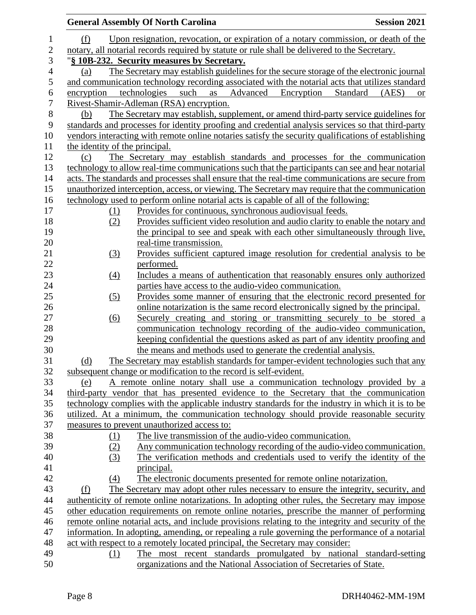|                          |                                | <b>General Assembly Of North Carolina</b>                                                                                                     | <b>Session 2021</b> |
|--------------------------|--------------------------------|-----------------------------------------------------------------------------------------------------------------------------------------------|---------------------|
| $\mathbf 1$              | (f)                            | Upon resignation, revocation, or expiration of a notary commission, or death of the                                                           |                     |
| $\mathbf{2}$             |                                | notary, all notarial records required by statute or rule shall be delivered to the Secretary.                                                 |                     |
| 3                        |                                | "§ 10B-232. Security measures by Secretary.                                                                                                   |                     |
| $\overline{\mathcal{L}}$ | (a)                            | The Secretary may establish guidelines for the secure storage of the electronic journal                                                       |                     |
| 5                        |                                | and communication technology recording associated with the notarial acts that utilizes standard                                               |                     |
| 6                        | encryption                     | Advanced<br>technologies<br>such<br>as<br>Encryption<br>Standard                                                                              | (AES)<br><b>or</b>  |
| $\overline{7}$           |                                | Rivest-Shamir-Adleman (RSA) encryption.                                                                                                       |                     |
| 8                        | (b)                            | The Secretary may establish, supplement, or amend third-party service guidelines for                                                          |                     |
| 9                        |                                | standards and processes for identity proofing and credential analysis services so that third-party                                            |                     |
| 10                       |                                | vendors interacting with remote online notaries satisfy the security qualifications of establishing                                           |                     |
| 11                       | the identity of the principal. |                                                                                                                                               |                     |
| 12                       | (c)                            | The Secretary may establish standards and processes for the communication                                                                     |                     |
| 13                       |                                | technology to allow real-time communications such that the participants can see and hear notarial                                             |                     |
| 14                       |                                | acts. The standards and processes shall ensure that the real-time communications are secure from                                              |                     |
| 15                       |                                | unauthorized interception, access, or viewing. The Secretary may require that the communication                                               |                     |
| 16                       |                                | technology used to perform online notarial acts is capable of all of the following:                                                           |                     |
| 17                       | $\Omega$                       | Provides for continuous, synchronous audiovisual feeds.                                                                                       |                     |
| 18                       | (2)                            | Provides sufficient video resolution and audio clarity to enable the notary and                                                               |                     |
| 19                       |                                | the principal to see and speak with each other simultaneously through live,                                                                   |                     |
| 20                       |                                | real-time transmission.                                                                                                                       |                     |
| 21                       | (3)                            | Provides sufficient captured image resolution for credential analysis to be                                                                   |                     |
| 22                       |                                | performed.                                                                                                                                    |                     |
| 23                       | $\left(4\right)$               | Includes a means of authentication that reasonably ensures only authorized                                                                    |                     |
| 24                       |                                | parties have access to the audio-video communication.                                                                                         |                     |
| 25                       | (5)                            | Provides some manner of ensuring that the electronic record presented for                                                                     |                     |
| 26<br>27                 |                                | online notarization is the same record electronically signed by the principal.                                                                |                     |
| 28                       | $\underline{(6)}$              | Securely creating and storing or transmitting securely to be stored a<br>communication technology recording of the audio-video communication, |                     |
| 29                       |                                | keeping confidential the questions asked as part of any identity proofing and                                                                 |                     |
| 30                       |                                | the means and methods used to generate the credential analysis.                                                                               |                     |
| 31                       | (d)                            | The Secretary may establish standards for tamper-evident technologies such that any                                                           |                     |
| 32                       |                                | subsequent change or modification to the record is self-evident.                                                                              |                     |
| 33                       | (e)                            | A remote online notary shall use a communication technology provided by a                                                                     |                     |
| 34                       |                                | third-party vendor that has presented evidence to the Secretary that the communication                                                        |                     |
| 35                       |                                | technology complies with the applicable industry standards for the industry in which it is to be                                              |                     |
| 36                       |                                | utilized. At a minimum, the communication technology should provide reasonable security                                                       |                     |
| 37                       |                                | measures to prevent unauthorized access to:                                                                                                   |                     |
| 38                       | (1)                            | The live transmission of the audio-video communication.                                                                                       |                     |
| 39                       | (2)                            | Any communication technology recording of the audio-video communication.                                                                      |                     |
| 40                       | (3)                            | The verification methods and credentials used to verify the identity of the                                                                   |                     |
| 41                       |                                | principal.                                                                                                                                    |                     |
| 42                       | (4)                            | The electronic documents presented for remote online notarization.                                                                            |                     |
| 43                       | (f)                            | The Secretary may adopt other rules necessary to ensure the integrity, security, and                                                          |                     |
| 44                       |                                | authenticity of remote online notarizations. In adopting other rules, the Secretary may impose                                                |                     |
| 45                       |                                | other education requirements on remote online notaries, prescribe the manner of performing                                                    |                     |
| 46                       |                                | remote online notarial acts, and include provisions relating to the integrity and security of the                                             |                     |
| 47                       |                                | information. In adopting, amending, or repealing a rule governing the performance of a notarial                                               |                     |
| 48                       |                                | act with respect to a remotely located principal, the Secretary may consider:                                                                 |                     |
| 49                       | (1)                            | The most recent standards promulgated by national standard-setting                                                                            |                     |
| 50                       |                                | organizations and the National Association of Secretaries of State.                                                                           |                     |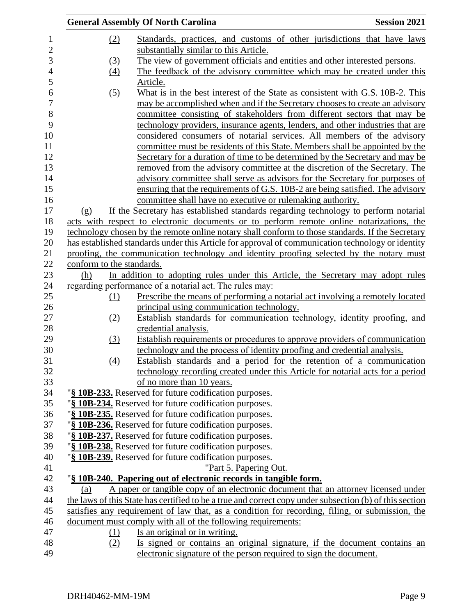|                           | <b>General Assembly Of North Carolina</b>                                                                                                               | <b>Session 2021</b> |
|---------------------------|---------------------------------------------------------------------------------------------------------------------------------------------------------|---------------------|
| (2)                       | Standards, practices, and customs of other jurisdictions that have laws                                                                                 |                     |
|                           | substantially similar to this Article.                                                                                                                  |                     |
| (3)                       | The view of government officials and entities and other interested persons.                                                                             |                     |
| (4)                       | The feedback of the advisory committee which may be created under this                                                                                  |                     |
|                           | Article.                                                                                                                                                |                     |
| (5)                       | What is in the best interest of the State as consistent with G.S. 10B-2. This                                                                           |                     |
|                           | may be accomplished when and if the Secretary chooses to create an advisory                                                                             |                     |
|                           | committee consisting of stakeholders from different sectors that may be                                                                                 |                     |
|                           | technology providers, insurance agents, lenders, and other industries that are                                                                          |                     |
|                           | considered consumers of notarial services. All members of the advisory                                                                                  |                     |
|                           | committee must be residents of this State. Members shall be appointed by the                                                                            |                     |
|                           | Secretary for a duration of time to be determined by the Secretary and may be                                                                           |                     |
|                           | removed from the advisory committee at the discretion of the Secretary. The                                                                             |                     |
|                           | advisory committee shall serve as advisors for the Secretary for purposes of                                                                            |                     |
|                           | ensuring that the requirements of G.S. 10B-2 are being satisfied. The advisory                                                                          |                     |
|                           | committee shall have no executive or rulemaking authority.                                                                                              |                     |
| (g)                       | If the Secretary has established standards regarding technology to perform notarial                                                                     |                     |
|                           | acts with respect to electronic documents or to perform remote online notarizations, the                                                                |                     |
|                           | technology chosen by the remote online notary shall conform to those standards. If the Secretary                                                        |                     |
|                           | has established standards under this Article for approval of communication technology or identity                                                       |                     |
|                           | proofing, the communication technology and identity proofing selected by the notary must                                                                |                     |
| conform to the standards. |                                                                                                                                                         |                     |
| (h)                       | In addition to adopting rules under this Article, the Secretary may adopt rules                                                                         |                     |
|                           | regarding performance of a notarial act. The rules may:                                                                                                 |                     |
| (1)                       | Prescribe the means of performing a notarial act involving a remotely located                                                                           |                     |
|                           | principal using communication technology.                                                                                                               |                     |
| (2)                       | Establish standards for communication technology, identity proofing, and                                                                                |                     |
|                           | credential analysis.                                                                                                                                    |                     |
| $\left(3\right)$          | Establish requirements or procedures to approve providers of communication                                                                              |                     |
|                           | technology and the process of identity proofing and credential analysis.                                                                                |                     |
| (4)                       | Establish standards and a period for the retention of a communication<br>technology recording created under this Article for notarial acts for a period |                     |
|                           | of no more than 10 years.                                                                                                                               |                     |
|                           | "§ 10B-233. Reserved for future codification purposes.                                                                                                  |                     |
|                           | "§ 10B-234. Reserved for future codification purposes.                                                                                                  |                     |
|                           | "§ 10B-235. Reserved for future codification purposes.                                                                                                  |                     |
|                           | "§ 10B-236. Reserved for future codification purposes.                                                                                                  |                     |
|                           | "§ 10B-237. Reserved for future codification purposes.                                                                                                  |                     |
|                           | "§ 10B-238. Reserved for future codification purposes.                                                                                                  |                     |
|                           | "§ 10B-239. Reserved for future codification purposes.                                                                                                  |                     |
|                           | "Part 5. Papering Out.                                                                                                                                  |                     |
|                           | "§ 10B-240. Papering out of electronic records in tangible form.                                                                                        |                     |
| (a)                       | A paper or tangible copy of an electronic document that an attorney licensed under                                                                      |                     |
|                           | the laws of this State has certified to be a true and correct copy under subsection (b) of this section                                                 |                     |
|                           | satisfies any requirement of law that, as a condition for recording, filing, or submission, the                                                         |                     |
|                           | document must comply with all of the following requirements:                                                                                            |                     |
| (1)                       | Is an original or in writing.                                                                                                                           |                     |
| (2)                       | Is signed or contains an original signature, if the document contains an                                                                                |                     |
|                           | electronic signature of the person required to sign the document.                                                                                       |                     |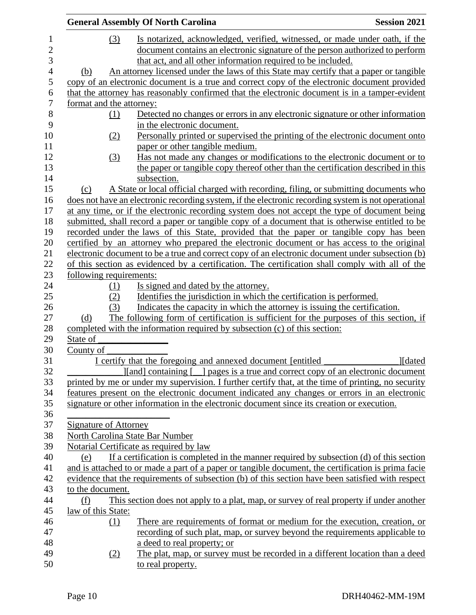|                              | <b>General Assembly Of North Carolina</b>                                                                 | <b>Session 2021</b> |
|------------------------------|-----------------------------------------------------------------------------------------------------------|---------------------|
| (3)                          | Is notarized, acknowledged, verified, witnessed, or made under oath, if the                               |                     |
|                              | document contains an electronic signature of the person authorized to perform                             |                     |
|                              | that act, and all other information required to be included.                                              |                     |
| (b)                          | An attorney licensed under the laws of this State may certify that a paper or tangible                    |                     |
|                              | copy of an electronic document is a true and correct copy of the electronic document provided             |                     |
|                              | that the attorney has reasonably confirmed that the electronic document is in a tamper-evident            |                     |
| format and the attorney:     |                                                                                                           |                     |
| (1)                          | Detected no changes or errors in any electronic signature or other information                            |                     |
|                              | in the electronic document.                                                                               |                     |
| (2)                          | Personally printed or supervised the printing of the electronic document onto                             |                     |
|                              | paper or other tangible medium.                                                                           |                     |
| (3)                          | Has not made any changes or modifications to the electronic document or to                                |                     |
|                              | the paper or tangible copy thereof other than the certification described in this                         |                     |
|                              | subsection.                                                                                               |                     |
| (c)                          | A State or local official charged with recording, filing, or submitting documents who                     |                     |
|                              | does not have an electronic recording system, if the electronic recording system is not operational       |                     |
|                              | at any time, or if the electronic recording system does not accept the type of document being             |                     |
|                              | submitted, shall record a paper or tangible copy of a document that is otherwise entitled to be           |                     |
|                              | recorded under the laws of this State, provided that the paper or tangible copy has been                  |                     |
|                              | certified by an attorney who prepared the electronic document or has access to the original               |                     |
|                              | electronic document to be a true and correct copy of an electronic document under subsection (b)          |                     |
|                              | of this section as evidenced by a certification. The certification shall comply with all of the           |                     |
| following requirements:      |                                                                                                           |                     |
| (1)                          | Is signed and dated by the attorney.                                                                      |                     |
| (2)                          | Identifies the jurisdiction in which the certification is performed.                                      |                     |
| (3)                          | Indicates the capacity in which the attorney is issuing the certification.                                |                     |
| (d)                          | The following form of certification is sufficient for the purposes of this section, if                    |                     |
|                              | completed with the information required by subsection (c) of this section:                                |                     |
| State of                     |                                                                                                           |                     |
| County of                    |                                                                                                           |                     |
|                              | I certify that the foregoing and annexed document [entitled]                                              | <b>J</b> [dated     |
|                              | [[[[[[[[[[[[[[[[]]]]][[[[[[]] [[[[]] [[[[]] [[[]] [[[[]] [[[]] and correct copy of an electronic document |                     |
|                              | printed by me or under my supervision. I further certify that, at the time of printing, no security       |                     |
|                              | features present on the electronic document indicated any changes or errors in an electronic              |                     |
|                              | signature or other information in the electronic document since its creation or execution.                |                     |
| <b>Signature of Attorney</b> |                                                                                                           |                     |
|                              | North Carolina State Bar Number                                                                           |                     |
|                              | Notarial Certificate as required by law                                                                   |                     |
| (e)                          | If a certification is completed in the manner required by subsection (d) of this section                  |                     |
|                              | and is attached to or made a part of a paper or tangible document, the certification is prima facie       |                     |
|                              | evidence that the requirements of subsection (b) of this section have been satisfied with respect         |                     |
| to the document.             |                                                                                                           |                     |
| (f)                          | This section does not apply to a plat, map, or survey of real property if under another                   |                     |
| law of this State:           |                                                                                                           |                     |
| (1)                          | There are requirements of format or medium for the execution, creation, or                                |                     |
|                              | recording of such plat, map, or survey beyond the requirements applicable to                              |                     |
|                              | a deed to real property; or                                                                               |                     |
| (2)                          | The plat, map, or survey must be recorded in a different location than a deed                             |                     |
|                              | to real property.                                                                                         |                     |
|                              |                                                                                                           |                     |